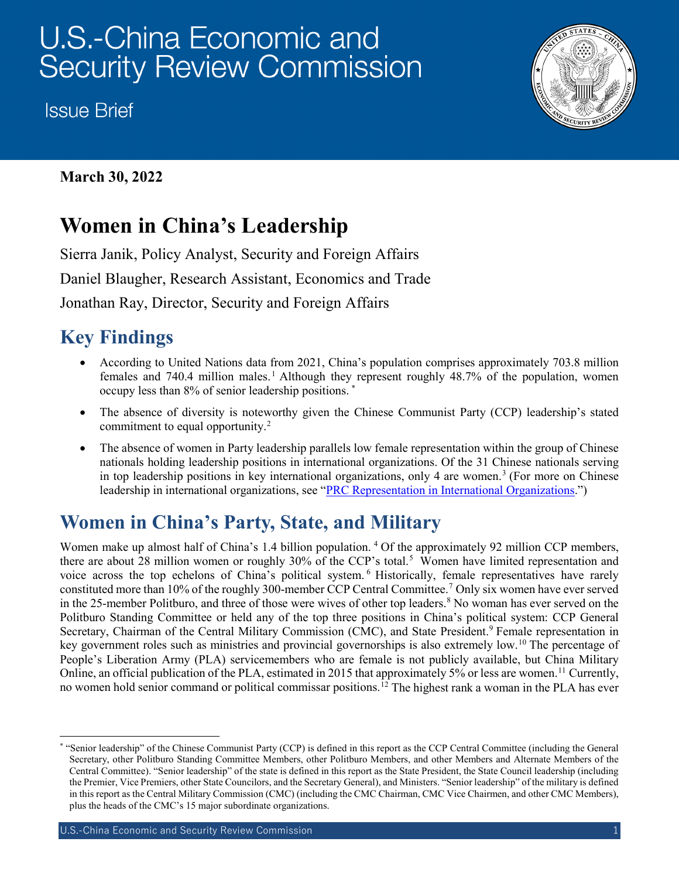# U.S.-China Economic and **Security Review Commission**

**Issue Brief** 



### **March 30, 2022**

# **Women in China's Leadership**

Sierra Janik, Policy Analyst, Security and Foreign Affairs Daniel Blaugher, Research Assistant, Economics and Trade Jonathan Ray, Director, Security and Foreign Affairs

### **Key Findings**

- According to United Nations data from 2021, China's population comprises approximately 703.8 million females and 740.4 million males.<sup>[1](#page-5-0)</sup> Although they represent roughly 48.7% of the population, women occupy less than 8% of senior leadership positions. [\\*](#page-0-0)
- The absence of diversity is noteworthy given the Chinese Communist Party (CCP) leadership's stated commitment to equal opportunity. $2$
- The absence of women in Party leadership parallels low female representation within the group of Chinese nationals holding leadership positions in international organizations. Of the 31 Chinese nationals serving in top leadership positions in key international organizations, only 4 are women.<sup>[3](#page-5-2)</sup> (For more on Chinese leadership in international organizations, see ["PRC Representation in International Organizations.](https://www.uscc.gov/research/prc-international-organizations)")

## **Women in China's Party, State, and Military**

Women make up almost half of China's 1.[4](#page-5-3) billion population.<sup>4</sup> Of the approximately 92 million CCP members, there are about 28 million women or roughly 30% of the CCP's total.<sup>[5](#page-5-4)</sup> Women have limited representation and voice across the top echelons of China's political system. [6](#page-5-5) Historically, female representatives have rarely constituted more than 10% of the roughly 300-member CCP Central Committee.[7](#page-5-6) Only six women have ever served in the 25-member Politburo, and three of those were wives of other top leaders.<sup>[8](#page-5-7)</sup> No woman has ever served on the Politburo Standing Committee or held any of the top three positions in China's political system: CCP General Secretary, Chairman of the Central Military Commission (CMC), and State President.<sup>[9](#page-5-8)</sup> Female representation in key government roles such as ministries and provincial governorships is also extremely low.<sup>[10](#page-5-9)</sup> The percentage of People's Liberation Army (PLA) servicemembers who are female is not publicly available, but China Military Online, an official publication of the PLA, estimated in 2015 that approximately 5% or less are women.<sup>[11](#page-5-10)</sup> Currently, no women hold senior command or political commissar positions.<sup>12</sup> The highest rank a woman in the PLA has ever

<span id="page-0-0"></span> <sup>\*</sup> "Senior leadership" of the Chinese Communist Party (CCP) is defined in this report as the CCP Central Committee (including the General Secretary, other Politburo Standing Committee Members, other Politburo Members, and other Members and Alternate Members of the Central Committee). "Senior leadership" of the state is defined in this report as the State President, the State Council leadership (including the Premier, Vice Premiers, other State Councilors, and the Secretary General), and Ministers. "Senior leadership" of the military is defined in this report as the Central Military Commission (CMC) (including the CMC Chairman, CMC Vice Chairmen, and other CMC Members), plus the heads of the CMC's 15 major subordinate organizations.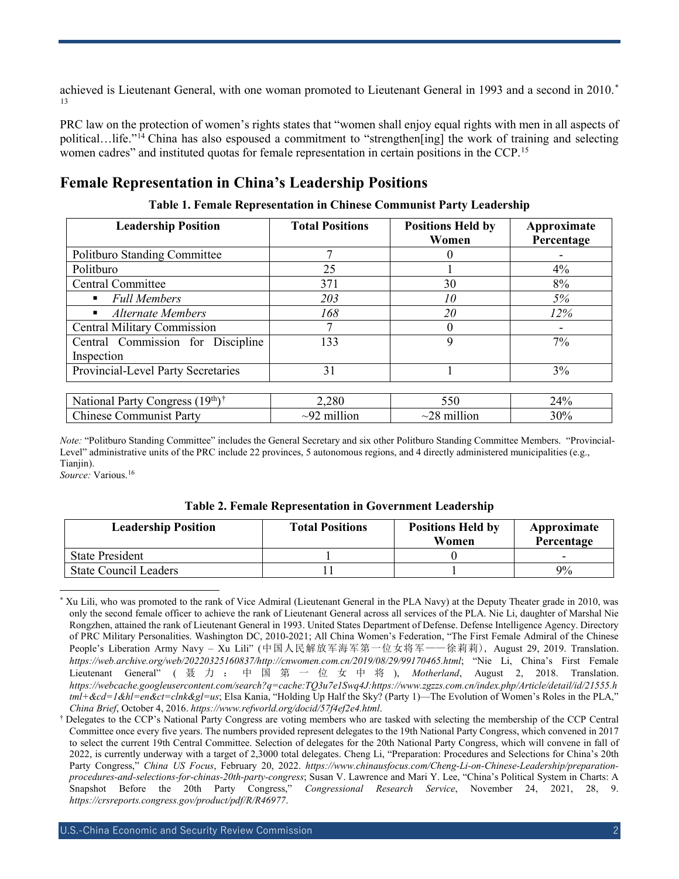achieved is Lieutenant General, with one woman promoted to Lieutenant General in 1993 and a second in 2010.<sup>[\\*](#page-1-0)</sup> [13](#page-5-12)

PRC law on the protection of women's rights states that "women shall enjoy equal rights with men in all aspects of political…life."[14](#page-5-13) China has also espoused a commitment to "strengthen[ing] the work of training and selecting women cadres" and instituted quotas for female representation in certain positions in the CCP.<sup>[15](#page-5-14)</sup>

#### **Female Representation in China's Leadership Positions**

| <b>Leadership Position</b>                  | <b>Total Positions</b> | <b>Positions Held by</b><br>Women | Approximate<br>Percentage |
|---------------------------------------------|------------------------|-----------------------------------|---------------------------|
| <b>Politburo Standing Committee</b>         |                        | $\Omega$                          |                           |
| Politburo                                   | 25                     |                                   | 4%                        |
| <b>Central Committee</b>                    | 371                    | 30                                | 8%                        |
| <b>Full Members</b><br>٠                    | 203                    | 10                                | 5%                        |
| <b>Alternate Members</b>                    | 168                    | 20                                | $12\%$                    |
| <b>Central Military Commission</b>          | 7                      | $\theta$                          |                           |
| Central Commission for Discipline           | 133                    | 9                                 | 7%                        |
| Inspection                                  |                        |                                   |                           |
| Provincial-Level Party Secretaries          | 31                     |                                   | 3%                        |
|                                             |                        |                                   |                           |
| National Party Congress (19th) <sup>†</sup> | 2,280                  | 550                               | 24%                       |
| <b>Chinese Communist Party</b>              | $\sim$ 92 million      | $\sim$ 28 million                 | 30%                       |

**Table 1. Female Representation in Chinese Communist Party Leadership**

*Note:* "Politburo Standing Committee" includes the General Secretary and six other Politburo Standing Committee Members. "Provincial-Level" administrative units of the PRC include 22 provinces, 5 autonomous regions, and 4 directly administered municipalities (e.g., Tianjin).

*Source:* Various[.16](#page-5-15)

| <b>Table 2. Female Representation in Government Leadership</b> |  |
|----------------------------------------------------------------|--|
|----------------------------------------------------------------|--|

| <b>Leadership Position</b>   | <b>Total Positions</b> | <b>Positions Held by</b><br>Women | Approximate<br>Percentage |
|------------------------------|------------------------|-----------------------------------|---------------------------|
| <b>State President</b>       |                        |                                   |                           |
| <b>State Council Leaders</b> |                        |                                   | 9%                        |

<span id="page-1-0"></span> <sup>\*</sup> Xu Lili, who was promoted to the rank of Vice Admiral (Lieutenant General in the PLA Navy) at the Deputy Theater grade in 2010, was only the second female officer to achieve the rank of Lieutenant General across all services of the PLA. Nie Li, daughter of Marshal Nie Rongzhen, attained the rank of Lieutenant General in 1993. United States Department of Defense. Defense Intelligence Agency. Directory of PRC Military Personalities. Washington DC, 2010-2021; All China Women's Federation, "The First Female Admiral of the Chinese People's Liberation Army Navy – Xu Lili" (中国人民解放军海军第一位女将军——徐莉莉), August 29, 2019. Translation. *[https://web.archive.org/web/20220325160837/http://cnwomen.com.cn/2019/08/29/99170465.html](https://web.archive.org/web/20220325160837/http:/cnwomen.com.cn/2019/08/29/99170465.html)*; "Nie Li, China's First Female Lieutenant General" ( 聂力:中国第一位女中将 ), *Motherland*, August 2, 2018. Translation. *[https://webcache.googleusercontent.com/search?q=cache:TQ3u7e1Swq4J:https://www.zgzzs.com.cn/index.php/Article/detail/id/21555.h](https://webcache.googleusercontent.com/search?q=cache:TQ3u7e1Swq4J:https://www.zgzzs.com.cn/index.php/Article/detail/id/21555.html+&cd=1&hl=en&ct=clnk&gl=us) [tml+&cd=1&hl=en&ct=clnk&gl=us](https://webcache.googleusercontent.com/search?q=cache:TQ3u7e1Swq4J:https://www.zgzzs.com.cn/index.php/Article/detail/id/21555.html+&cd=1&hl=en&ct=clnk&gl=us)*; Elsa Kania, "Holding Up Half the Sky? (Party 1)—The Evolution of Women's Roles in the PLA," *China Brief*, October 4, 2016. *<https://www.refworld.org/docid/57f4ef2e4.html>*.

<span id="page-1-1"></span><sup>†</sup> Delegates to the CCP's National Party Congress are voting members who are tasked with selecting the membership of the CCP Central Committee once every five years. The numbers provided represent delegates to the 19th National Party Congress, which convened in 2017 to select the current 19th Central Committee. Selection of delegates for the 20th National Party Congress, which will convene in fall of 2022, is currently underway with a target of 2,3000 total delegates. Cheng Li, "Preparation: Procedures and Selections for China's 20th Party Congress," *China US Focus*, February 20, 2022. *[https://www.chinausfocus.com/Cheng-Li-on-Chinese-Leadership/preparation](https://www.chinausfocus.com/Cheng-Li-on-Chinese-Leadership/preparation-procedures-and-selections-for-chinas-20th-party-congress)[procedures-and-selections-for-chinas-20th-party-congress](https://www.chinausfocus.com/Cheng-Li-on-Chinese-Leadership/preparation-procedures-and-selections-for-chinas-20th-party-congress)*; Susan V. Lawrence and Mari Y. Lee, "China's Political System in Charts: A Snapshot Before the 20th Party Congress," *Congressional Research Service*, November 24, 2021, 28, 9. *<https://crsreports.congress.gov/product/pdf/R/R46977>*.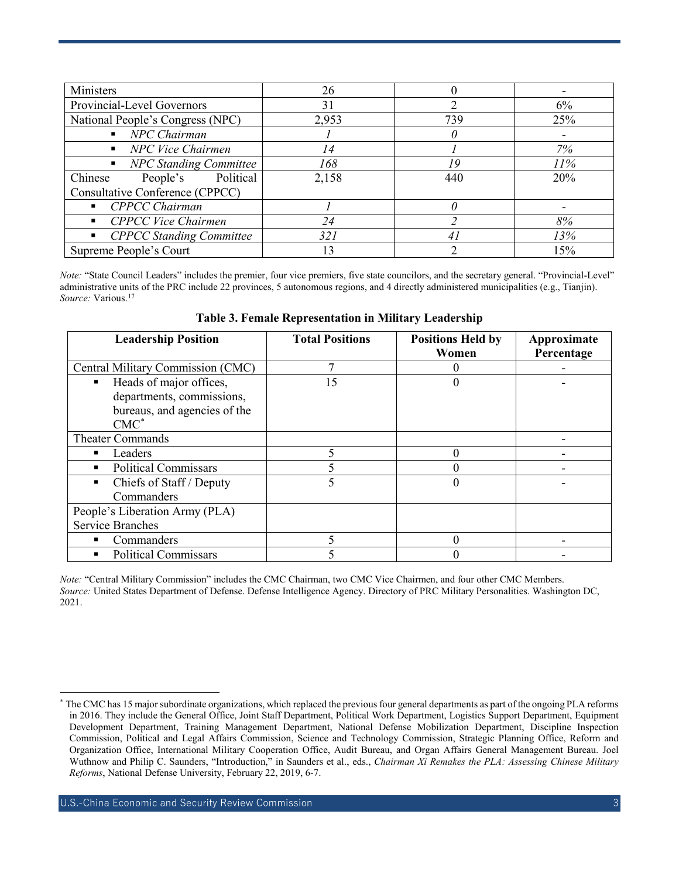| Ministers                                         | 26    |                |     |
|---------------------------------------------------|-------|----------------|-----|
| Provincial-Level Governors                        | 31    |                | 6%  |
| National People's Congress (NPC)                  | 2,953 | 739            | 25% |
| NPC Chairman<br>$\blacksquare$                    |       |                |     |
| NPC Vice Chairmen<br>$\blacksquare$               | 14    |                | 7%  |
| <b>NPC Standing Committee</b><br>$\blacksquare$   | 168   | 19             | 11% |
| Chinese<br>People's Political                     | 2,158 | 440            | 20% |
| Consultative Conference (CPPCC)                   |       |                |     |
| ■ CPPCC Chairman                                  |       |                |     |
| CPPCC Vice Chairmen<br>$\blacksquare$             | 24    |                | 8%  |
| <b>CPPCC Standing Committee</b><br>$\blacksquare$ | 321   | $\overline{4}$ | 13% |
| Supreme People's Court                            | 13    |                | 15% |

*Note:* "State Council Leaders" includes the premier, four vice premiers, five state councilors, and the secretary general. "Provincial-Level" administrative units of the PRC include 22 provinces, 5 autonomous regions, and 4 directly administered municipalities (e.g., Tianjin). *Source:* Various. [17](#page-5-16)

| <b>Leadership Position</b>        | <b>Total Positions</b> | <b>Positions Held by</b> | Approximate |
|-----------------------------------|------------------------|--------------------------|-------------|
|                                   |                        | Women                    | Percentage  |
| Central Military Commission (CMC) |                        |                          |             |
| Heads of major offices,           | 15                     |                          |             |
| departments, commissions,         |                        |                          |             |
| bureaus, and agencies of the      |                        |                          |             |
| $CMC^*$                           |                        |                          |             |
| Theater Commands                  |                        |                          |             |
| Leaders<br>٠                      |                        |                          |             |
| <b>Political Commissars</b><br>٠  |                        |                          |             |
| Chiefs of Staff / Deputy          |                        |                          |             |
| Commanders                        |                        |                          |             |
| People's Liberation Army (PLA)    |                        |                          |             |
| <b>Service Branches</b>           |                        |                          |             |
| Commanders<br>٠                   |                        |                          |             |
| <b>Political Commissars</b>       |                        |                          |             |

**Table 3. Female Representation in Military Leadership**

*Note:* "Central Military Commission" includes the CMC Chairman, two CMC Vice Chairmen, and four other CMC Members. *Source:* United States Department of Defense. Defense Intelligence Agency. Directory of PRC Military Personalities. Washington DC, 2021.

<span id="page-2-0"></span>The CMC has 15 major subordinate organizations, which replaced the previous four general departments as part of the ongoing PLA reforms in 2016. They include the General Office, Joint Staff Department, Political Work Department, Logistics Support Department, Equipment Development Department, Training Management Department, National Defense Mobilization Department, Discipline Inspection Commission, Political and Legal Affairs Commission, Science and Technology Commission, Strategic Planning Office, Reform and Organization Office, International Military Cooperation Office, Audit Bureau, and Organ Affairs General Management Bureau. Joel Wuthnow and Philip C. Saunders, "Introduction," in Saunders et al., eds., *Chairman Xi Remakes the PLA: Assessing Chinese Military Reforms*, National Defense University, February 22, 2019, 6-7.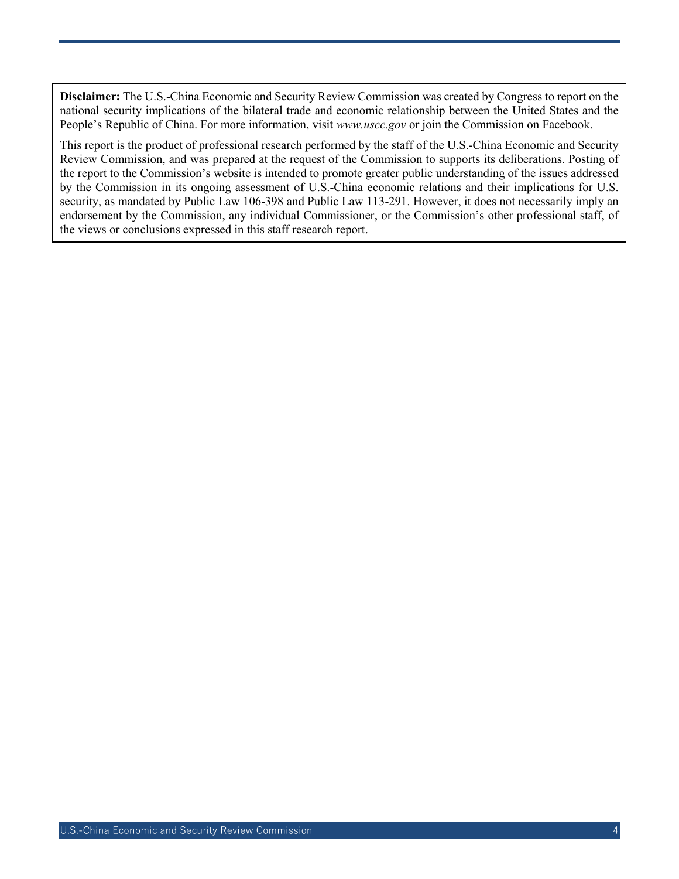**Disclaimer:** The U.S.-China Economic and Security Review Commission was created by Congress to report on the national security implications of the bilateral trade and economic relationship between the United States and the People's Republic of China. For more information, visit *[www.uscc.gov](http://www.uscc.gov/)* or join the Commission on Facebook.

This report is the product of professional research performed by the staff of the U.S.-China Economic and Security Review Commission, and was prepared at the request of the Commission to supports its deliberations. Posting of the report to the Commission's website is intended to promote greater public understanding of the issues addressed by the Commission in its ongoing assessment of U.S.-China economic relations and their implications for U.S. security, as mandated by Public Law 106-398 and Public Law 113-291. However, it does not necessarily imply an endorsement by the Commission, any individual Commissioner, or the Commission's other professional staff, of the views or conclusions expressed in this staff research report.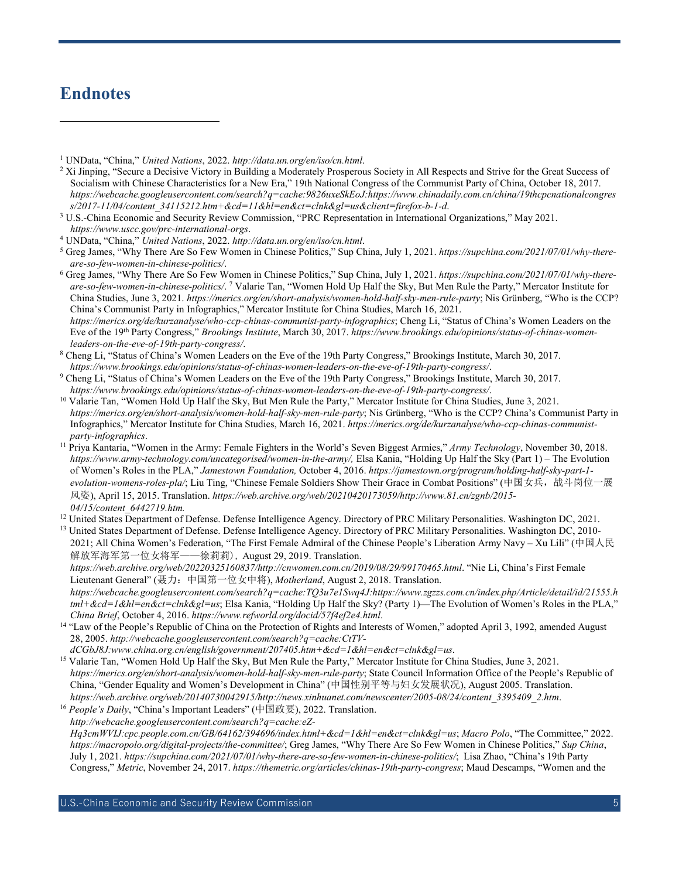### **Endnotes**

 $\overline{a}$ 

<sup>2</sup> Xi Jinping, "Secure a Decisive Victory in Building a Moderately Prosperous Society in All Respects and Strive for the Great Success of Socialism with Chinese Characteristics for a New Era," 19th National Congress of the Communist Party of China, October 18, 2017. *[https://webcache.googleusercontent.com/search?q=cache:9826uxeSkEoJ:https://www.chinadaily.com.cn/china/19thcpcnationalcongres](https://webcache.googleusercontent.com/search?q=cache:9826uxeSkEoJ:https://www.chinadaily.com.cn/china/19thcpcnationalcongress/2017-11/04/content_34115212.htm+&cd=11&hl=en&ct=clnk&gl=us&client=firefox-b-1-d)*

- *[are-so-few-women-in-chinese-politics/](https://supchina.com/2021/07/01/why-there-are-so-few-women-in-chinese-politics/)*. 7 Valarie Tan, "Women Hold Up Half the Sky, But Men Rule the Party," Mercator Institute for China Studies, June 3, 2021. *<https://merics.org/en/short-analysis/women-hold-half-sky-men-rule-party>*; Nis Grünberg, "Who is the CCP? China's Communist Party in Infographics," Mercator Institute for China Studies, March 16, 2021. *<https://merics.org/de/kurzanalyse/who-ccp-chinas-communist-party-infographics>*; Cheng Li, "Status of China's Women Leaders on the Eve of the 19th Party Congress," *Brookings Institute*, March 30, 2017. *[https://www.brookings.edu/opinions/status-of-chinas-women](https://www.brookings.edu/opinions/status-of-chinas-women-leaders-on-the-eve-of-19th-party-congress/)[leaders-on-the-eve-of-19th-party-congress/](https://www.brookings.edu/opinions/status-of-chinas-women-leaders-on-the-eve-of-19th-party-congress/)*.
- <sup>8</sup> Cheng Li, "Status of China's Women Leaders on the Eve of the 19th Party Congress," Brookings Institute, March 30, 2017.
- https://www.brookings.edu/opinions/status-of-chinas-women-leaders-on-the-eve-of-19th-party-congress/.<br><sup>9</sup> Cheng Li, "Status of China's Women Leaders on the Eve of the 19th Party Congress," Brookings Institute, March 30, 20
- <sup>10</sup> Valarie Tan, "Women Hold Up Half the Sky, But Men Rule the Party," Mercator Institute for China Studies, June 3, 2021. *<https://merics.org/en/short-analysis/women-hold-half-sky-men-rule-party>*; Nis Grünberg, "Who is the CCP? China's Communist Party in Infographics," Mercator Institute for China Studies, March 16, 2021. *[https://merics.org/de/kurzanalyse/who-ccp-chinas-communist](https://merics.org/de/kurzanalyse/who-ccp-chinas-communist-party-infographics)party-infographics*[.](https://merics.org/de/kurzanalyse/who-ccp-chinas-communist-party-infographics) 11 Priya Kantaria, "Women in the Army: Female Fighters in the World's Seven Biggest Armies," *Army Technology*, November 30, 2018.
- *https://www.army-technology.com/uncategorised/women-in-the-army/,* Elsa Kania, "Holding Up Half the Sky (Part 1) The Evolution of Women's Roles in the PLA," *Jamestown Foundation,* October 4, 2016. *https://jamestown.org/program/holding-half-sky-part-1 evolution-womens-roles-pla/*; Liu Ting, "Chinese Female Soldiers Show Their Grace in Combat Positions" (中国女兵,战斗岗位一展 风姿), April 15, 2015. Translation. *https://web.archive.org/web/20210420173059/http://www.81.cn/zgnb/2015- 04/15/content\_6442719.htm.*
- <sup>12</sup> United States Department of Defense. Defense Intelligence Agency. Directory of PRC Military Personalities. Washington DC, 2021.

<sup>13</sup> United States Department of Defense. Defense Intelligence Agency. Directory of PRC Military Personalities. Washington DC, 2010-2021; All China Women's Federation, "The First Female Admiral of the Chinese People's Liberation Army Navy – Xu Lili" (中国人民 解放军海军第一位女将军——徐莉莉), August 29, 2019. Translation.

*[https://web.archive.org/web/20220325160837/http://cnwomen.com.cn/2019/08/29/99170465.html](https://web.archive.org/web/20220325160837/http:/cnwomen.com.cn/2019/08/29/99170465.html)*. "Nie Li, China's First Female Lieutenant General" (聂力: 中国第一位女中将), *Motherland*, August 2, 2018. Translation.

*[https://webcache.googleusercontent.com/search?q=cache:TQ3u7e1Swq4J:https://www.zgzzs.com.cn/index.php/Article/detail/id/21555.h](https://webcache.googleusercontent.com/search?q=cache:TQ3u7e1Swq4J:https://www.zgzzs.com.cn/index.php/Article/detail/id/21555.html+&cd=1&hl=en&ct=clnk&gl=us) [tml+&cd=1&hl=en&ct=clnk&gl=us](https://webcache.googleusercontent.com/search?q=cache:TQ3u7e1Swq4J:https://www.zgzzs.com.cn/index.php/Article/detail/id/21555.html+&cd=1&hl=en&ct=clnk&gl=us)*; Elsa Kania, "Holding Up Half the Sky? (Party 1)—The Evolution of Women's Roles in the PLA,"

<sup>14</sup> "Law of the People's Republic of China on the Protection of Rights and Interests of Women," adopted April 3, 1992, amended August 28, 2005. *[http://webcache.googleusercontent.com/search?q=cache:CtTV-](http://webcache.googleusercontent.com/search?q=cache:CtTV-dCGbJ8J:www.china.org.cn/english/government/207405.htm+&cd=1&hl=en&ct=clnk&gl=us)*

*dCGbJ8J:www.china.org.cn/english/government/207405.htm+&cd=1&hl=en&ct=clnk&gl=us*[.](http://webcache.googleusercontent.com/search?q=cache:CtTV-dCGbJ8J:www.china.org.cn/english/government/207405.htm+&cd=1&hl=en&ct=clnk&gl=us) 15 Valarie Tan, "Women Hold Up Half the Sky, But Men Rule the Party," Mercator Institute for China Studies, June 3, 2021. *<https://merics.org/en/short-analysis/women-hold-half-sky-men-rule-party>*; State Council Information Office of the People's Republic of China, "Gender Equality and Women's Development in China" (中国性别平等与妇女发展状况), August 2005. Translation. *[https://web.archive.org/web/20140730042915/http://news.xinhuanet.com/newscenter/2005-08/24/content\\_3395409\\_2.htm](https://web.archive.org/web/20140730042915/http:/news.xinhuanet.com/newscenter/2005-08/24/content_3395409_2.htm)*.

<sup>16</sup> *People's Daily*, "China's Important Leaders" (中国政要), 2022. Translation. *[http://webcache.googleusercontent.com/search?q=cache:eZ-](http://webcache.googleusercontent.com/search?q=cache:eZ-Hq3cmWVIJ:cpc.people.com.cn/GB/64162/394696/index.html+&cd=1&hl=en&ct=clnk&gl=us)[Hq3cmWVIJ:cpc.people.com.cn/GB/64162/394696/index.html+&cd=1&hl=en&ct=clnk&gl=us](http://webcache.googleusercontent.com/search?q=cache:eZ-Hq3cmWVIJ:cpc.people.com.cn/GB/64162/394696/index.html+&cd=1&hl=en&ct=clnk&gl=us)*; *Macro Polo*, "The Committee," 2022. *<https://macropolo.org/digital-projects/the-committee/>*; Greg James, "Why There Are So Few Women in Chinese Politics," *Sup China*, July 1, 2021. *<https://supchina.com/2021/07/01/why-there-are-so-few-women-in-chinese-politics/>*; Lisa Zhao, "China's 19th Party Congress," *Metric*, November 24, 2017. *<https://themetric.org/articles/chinas-19th-party-congress>*; Maud Descamps, "Women and the

<sup>1</sup> UNData, "China," *United Nations*, 2022. *<http://data.un.org/en/iso/cn.html>*.

<sup>&</sup>lt;sup>3</sup> U[.](https://webcache.googleusercontent.com/search?q=cache:9826uxeSkEoJ:https://www.chinadaily.com.cn/china/19thcpcnationalcongress/2017-11/04/content_34115212.htm+&cd=11&hl=en&ct=clnk&gl=us&client=firefox-b-1-d)S.-China Economic and Security Review Commission, "PRC Representation in International Organizations," May 2021. *<https://www.uscc.gov/prc-international-orgs>*.

<sup>4</sup> UNData, "China," *United Nations*, 2022. *<http://data.un.org/en/iso/cn.html>*.

<sup>5</sup> Greg James, "Why There Are So Few Women in Chinese Politics," Sup China, July 1, 2021. *[https://supchina.com/2021/07/01/why-there](https://supchina.com/2021/07/01/why-there-are-so-few-women-in-chinese-politics/)are-so-few-women-in-chinese-politics/*[.](https://supchina.com/2021/07/01/why-there-are-so-few-women-in-chinese-politics/) 6 Greg James, "Why There Are So Few Women in Chinese Politics," Sup China, July 1, 2021. *[https://supchina.com/2021/07/01/why-there-](https://supchina.com/2021/07/01/why-there-are-so-few-women-in-chinese-politics/)*